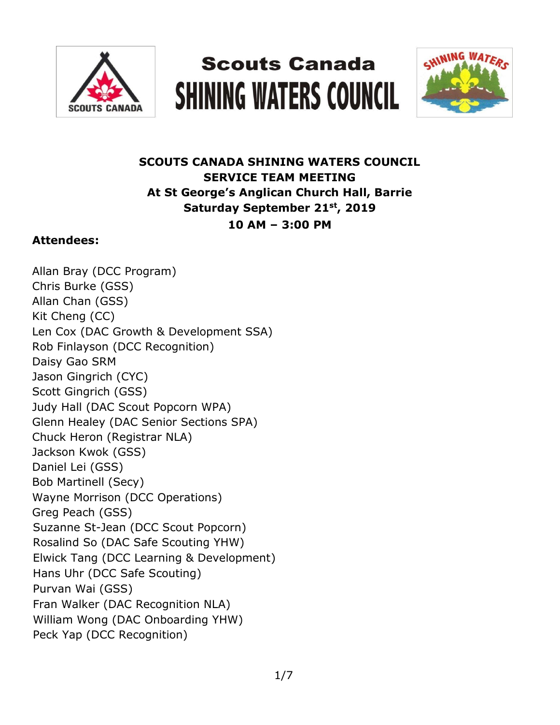

# **Scouts Canada SHINING WATERS COUNCIL**



# **SCOUTS CANADA SHINING WATERS COUNCIL SERVICE TEAM MEETING At St George's Anglican Church Hall, Barrie Saturday September 21st, 2019 10 AM – 3:00 PM**

## **Attendees:**

Allan Bray (DCC Program) Chris Burke (GSS) Allan Chan (GSS) Kit Cheng (CC) Len Cox (DAC Growth & Development SSA) Rob Finlayson (DCC Recognition) Daisy Gao SRM Jason Gingrich (CYC) Scott Gingrich (GSS) Judy Hall (DAC Scout Popcorn WPA) Glenn Healey (DAC Senior Sections SPA) Chuck Heron (Registrar NLA) Jackson Kwok (GSS) Daniel Lei (GSS) Bob Martinell (Secy) Wayne Morrison (DCC Operations) Greg Peach (GSS) Suzanne St-Jean (DCC Scout Popcorn) Rosalind So (DAC Safe Scouting YHW) Elwick Tang (DCC Learning & Development) Hans Uhr (DCC Safe Scouting) Purvan Wai (GSS) Fran Walker (DAC Recognition NLA) William Wong (DAC Onboarding YHW) Peck Yap (DCC Recognition)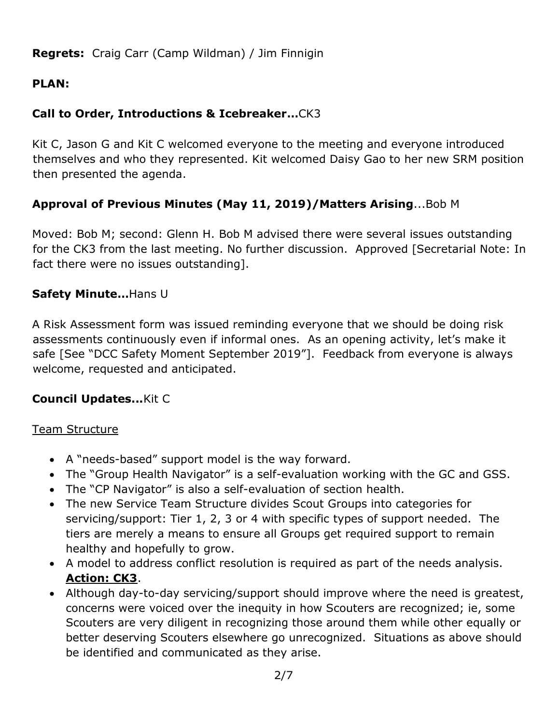**Regrets:** Craig Carr (Camp Wildman) / Jim Finnigin

## **PLAN:**

## **Call to Order, Introductions & Icebreaker…**CK3

Kit C, Jason G and Kit C welcomed everyone to the meeting and everyone introduced themselves and who they represented. Kit welcomed Daisy Gao to her new SRM position then presented the agenda.

## **Approval of Previous Minutes (May 11, 2019)/Matters Arising**...Bob M

Moved: Bob M; second: Glenn H. Bob M advised there were several issues outstanding for the CK3 from the last meeting. No further discussion. Approved [Secretarial Note: In fact there were no issues outstanding].

## **Safety Minute…**Hans U

A Risk Assessment form was issued reminding everyone that we should be doing risk assessments continuously even if informal ones. As an opening activity, let's make it safe [See "DCC Safety Moment September 2019"]. Feedback from everyone is always welcome, requested and anticipated.

## **Council Updates...**Kit C

#### Team Structure

- A "needs-based" support model is the way forward.
- The "Group Health Navigator" is a self-evaluation working with the GC and GSS.
- The "CP Navigator" is also a self-evaluation of section health.
- The new Service Team Structure divides Scout Groups into categories for servicing/support: Tier 1, 2, 3 or 4 with specific types of support needed. The tiers are merely a means to ensure all Groups get required support to remain healthy and hopefully to grow.
- A model to address conflict resolution is required as part of the needs analysis. **Action: CK3**.
- Although day-to-day servicing/support should improve where the need is greatest, concerns were voiced over the inequity in how Scouters are recognized; ie, some Scouters are very diligent in recognizing those around them while other equally or better deserving Scouters elsewhere go unrecognized. Situations as above should be identified and communicated as they arise.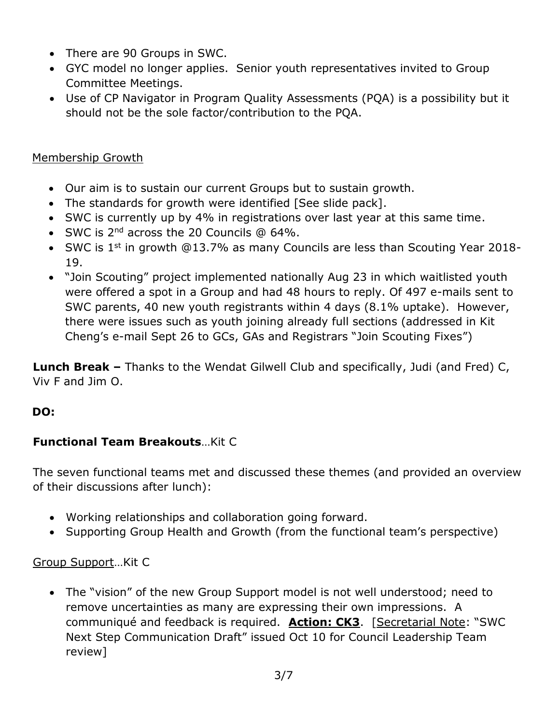- There are 90 Groups in SWC.
- GYC model no longer applies. Senior youth representatives invited to Group Committee Meetings.
- Use of CP Navigator in Program Quality Assessments (PQA) is a possibility but it should not be the sole factor/contribution to the PQA.

## Membership Growth

- Our aim is to sustain our current Groups but to sustain growth.
- The standards for growth were identified [See slide pack].
- SWC is currently up by 4% in registrations over last year at this same time.
- $\bullet$  SWC is 2<sup>nd</sup> across the 20 Councils @ 64%.
- SWC is  $1^{st}$  in growth @13.7% as many Councils are less than Scouting Year 2018-19.
- "Join Scouting" project implemented nationally Aug 23 in which waitlisted youth were offered a spot in a Group and had 48 hours to reply. Of 497 e-mails sent to SWC parents, 40 new youth registrants within 4 days (8.1% uptake). However, there were issues such as youth joining already full sections (addressed in Kit Cheng's e-mail Sept 26 to GCs, GAs and Registrars "Join Scouting Fixes")

**Lunch Break –** Thanks to the Wendat Gilwell Club and specifically, Judi (and Fred) C, Viv F and Jim O.

## **DO:**

## **Functional Team Breakouts**…Kit C

The seven functional teams met and discussed these themes (and provided an overview of their discussions after lunch):

- Working relationships and collaboration going forward.
- Supporting Group Health and Growth (from the functional team's perspective)

## Group Support…Kit C

 The "vision" of the new Group Support model is not well understood; need to remove uncertainties as many are expressing their own impressions. A communiqué and feedback is required. **Action: CK3**. [Secretarial Note: "SWC Next Step Communication Draft" issued Oct 10 for Council Leadership Team review]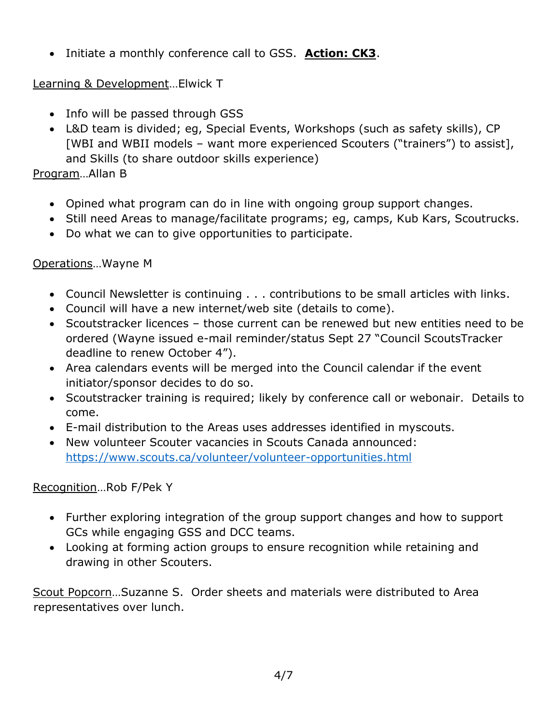Initiate a monthly conference call to GSS. **Action: CK3**.

## Learning & Development... Elwick T

- Info will be passed through GSS
- L&D team is divided; eg, Special Events, Workshops (such as safety skills), CP [WBI and WBII models – want more experienced Scouters ("trainers") to assist], and Skills (to share outdoor skills experience)

## Program…Allan B

- Opined what program can do in line with ongoing group support changes.
- Still need Areas to manage/facilitate programs; eg, camps, Kub Kars, Scoutrucks.
- Do what we can to give opportunities to participate.

## Operations…Wayne M

- Council Newsletter is continuing . . . contributions to be small articles with links.
- Council will have a new internet/web site (details to come).
- Scoutstracker licences those current can be renewed but new entities need to be ordered (Wayne issued e-mail reminder/status Sept 27 "Council ScoutsTracker deadline to renew October 4").
- Area calendars events will be merged into the Council calendar if the event initiator/sponsor decides to do so.
- Scoutstracker training is required; likely by conference call or webonair. Details to come.
- E-mail distribution to the Areas uses addresses identified in myscouts.
- New volunteer Scouter vacancies in Scouts Canada announced: <https://www.scouts.ca/volunteer/volunteer-opportunities.html>

## Recognition…Rob F/Pek Y

- Further exploring integration of the group support changes and how to support GCs while engaging GSS and DCC teams.
- Looking at forming action groups to ensure recognition while retaining and drawing in other Scouters.

Scout Popcorn…Suzanne S. Order sheets and materials were distributed to Area representatives over lunch.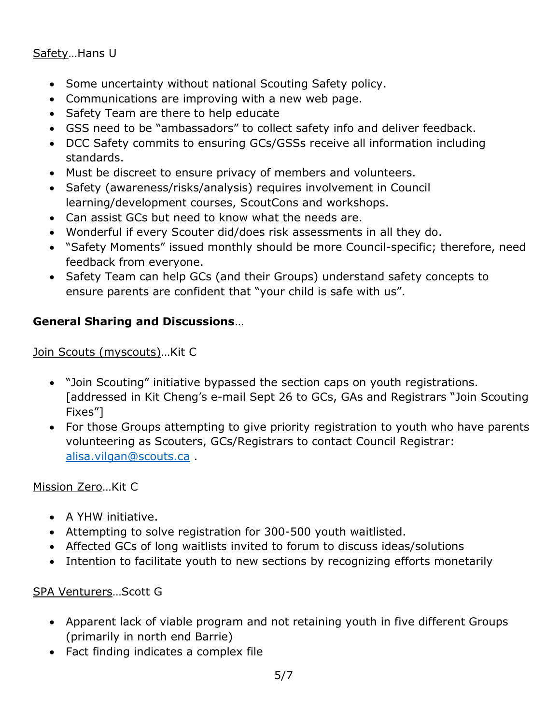#### Safety…Hans U

- Some uncertainty without national Scouting Safety policy.
- Communications are improving with a new web page.
- Safety Team are there to help educate
- GSS need to be "ambassadors" to collect safety info and deliver feedback.
- DCC Safety commits to ensuring GCs/GSSs receive all information including standards.
- Must be discreet to ensure privacy of members and volunteers.
- Safety (awareness/risks/analysis) requires involvement in Council learning/development courses, ScoutCons and workshops.
- Can assist GCs but need to know what the needs are.
- Wonderful if every Scouter did/does risk assessments in all they do.
- "Safety Moments" issued monthly should be more Council-specific; therefore, need feedback from everyone.
- Safety Team can help GCs (and their Groups) understand safety concepts to ensure parents are confident that "your child is safe with us".

## **General Sharing and Discussions**…

#### Join Scouts (myscouts)…Kit C

- "Join Scouting" initiative bypassed the section caps on youth registrations. [addressed in Kit Cheng's e-mail Sept 26 to GCs, GAs and Registrars "Join Scouting Fixes"]
- For those Groups attempting to give priority registration to youth who have parents volunteering as Scouters, GCs/Registrars to contact Council Registrar: [alisa.vilgan@scouts.ca](mailto:alisa.vilgan@scouts.ca) .

#### Mission Zero…Kit C

- A YHW initiative.
- Attempting to solve registration for 300-500 youth waitlisted.
- Affected GCs of long waitlists invited to forum to discuss ideas/solutions
- Intention to facilitate youth to new sections by recognizing efforts monetarily

#### SPA Venturers…Scott G

- Apparent lack of viable program and not retaining youth in five different Groups (primarily in north end Barrie)
- Fact finding indicates a complex file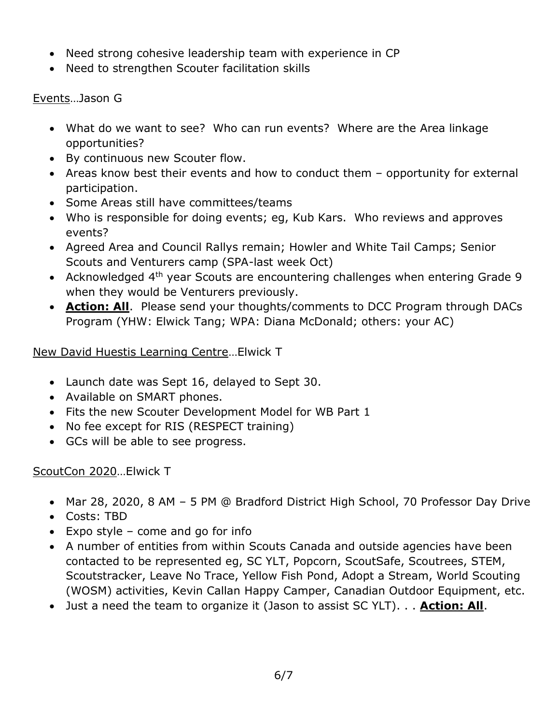- Need strong cohesive leadership team with experience in CP
- Need to strengthen Scouter facilitation skills

#### Events…Jason G

- What do we want to see? Who can run events? Where are the Area linkage opportunities?
- By continuous new Scouter flow.
- Areas know best their events and how to conduct them opportunity for external participation.
- Some Areas still have committees/teams
- Who is responsible for doing events; eg, Kub Kars. Who reviews and approves events?
- Agreed Area and Council Rallys remain; Howler and White Tail Camps; Senior Scouts and Venturers camp (SPA-last week Oct)
- Acknowledged 4<sup>th</sup> year Scouts are encountering challenges when entering Grade 9 when they would be Venturers previously.
- **Action: All**. Please send your thoughts/comments to DCC Program through DACs Program (YHW: Elwick Tang; WPA: Diana McDonald; others: your AC)

## New David Huestis Learning Centre…Elwick T

- Launch date was Sept 16, delayed to Sept 30.
- Available on SMART phones.
- Fits the new Scouter Development Model for WB Part 1
- No fee except for RIS (RESPECT training)
- GCs will be able to see progress.

## ScoutCon 2020…Elwick T

- Mar 28, 2020, 8 AM 5 PM @ Bradford District High School, 70 Professor Day Drive
- Costs: TBD
- Expo style come and go for info
- A number of entities from within Scouts Canada and outside agencies have been contacted to be represented eg, SC YLT, Popcorn, ScoutSafe, Scoutrees, STEM, Scoutstracker, Leave No Trace, Yellow Fish Pond, Adopt a Stream, World Scouting (WOSM) activities, Kevin Callan Happy Camper, Canadian Outdoor Equipment, etc.
- Just a need the team to organize it (Jason to assist SC YLT). . . **Action: All**.